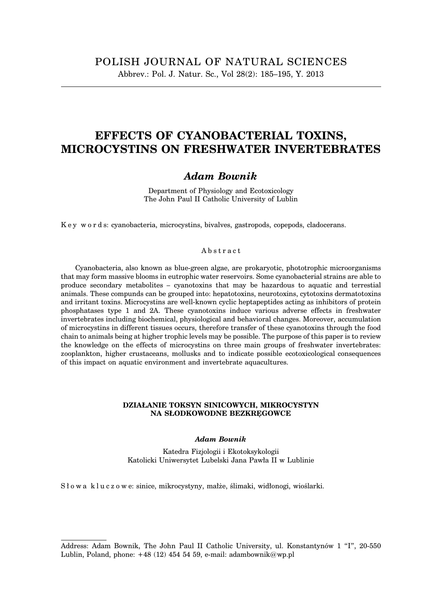# **EFFECTS OF CYANOBACTERIAL TOXINS, MICROCYSTINS ON FRESHWATER INVERTEBRATES**

# *Adam Bownik*

Department of Physiology and Ecotoxicology The John Paul II Catholic University of Lublin

K e y w o r d s: cyanobacteria, microcystins, bivalves, gastropods, copepods, cladocerans.

#### Abstract

Cyanobacteria, also known as blue-green algae, are prokaryotic, phototrophic microorganisms that may form massive blooms in eutrophic water reservoirs. Some cyanobacterial strains are able to produce secondary metabolites – cyanotoxins that may be hazardous to aquatic and terrestial animals. These compunds can be grouped into: hepatotoxins, neurotoxins, cytotoxins dermatotoxins and irritant toxins. Microcystins are well-known cyclic heptapeptides acting as inhibitors of protein phosphatases type 1 and 2A. These cyanotoxins induce various adverse effects in freshwater invertebrates including biochemical, physiological and behavioral changes. Moreover, accumulation of microcystins in different tissues occurs, therefore transfer of these cyanotoxins through the food chain to animals being at higher trophic levels may be possible. The purpose of this paper is to review the knowledge on the effects of microcystins on three main groups of freshwater invertebrates: zooplankton, higher crustaceans, mollusks and to indicate possible ecotoxicological consequences of this impact on aquatic environment and invertebrate aquacultures.

#### **DZIAŁANIE TOKSYN SINICOWYCH, MIKROCYSTYN NA SŁODKOWODNE BEZKRĘGOWCE**

#### *Adam Bownik*

Katedra Fizjologii i Ekotoksykologii Katolicki Uniwersytet Lubelski Jana Pawła II w Lublinie

S ł o w a k l u c z o w e: sinice, mikrocystyny, małże, ślimaki, widłonogi, wioślarki.

Address: Adam Bownik, The John Paul II Catholic University, ul. Konstantynów 1 "I", 20-550 Lublin, Poland, phone:  $+48$  (12) 454 54 59, e-mail: adambownik@wp.pl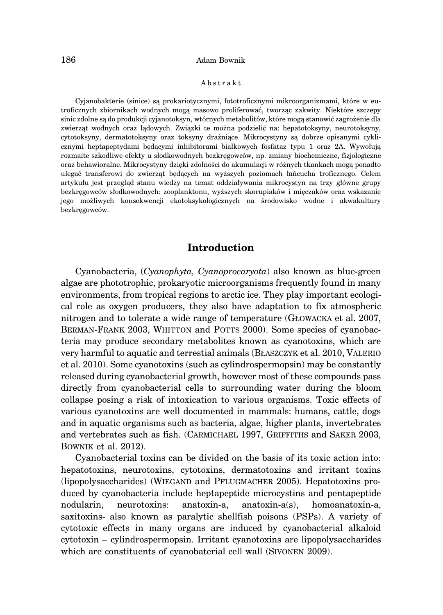#### Abstrakt

Cyjanobakterie (sinice) są prokariotycznymi, fototroficznymi mikroorganizmami, które w eutroficznych zbiornikach wodnych mogą masowo proliferować, tworząc zakwity. Niektóre szczepy sinic zdolne są do produkcji cyjanotoksyn, wtórnych metabolitów, które mogą stanowić zagrożenie dla zwierząt wodnych oraz lądowych. Związki te można podzielić na: hepatotoksyny, neurotoksyny, cytotoksyny, dermatotoksyny oraz toksyny drażniące. Mikrocystyny są dobrze opisanymi cyklicznymi heptapeptydami będącymi inhibitorami białkowych fosfataz typu 1 oraz 2A. Wywołują rozmaite szkodliwe efekty u słodkowodnych bezkręgowców, np. zmiany biochemiczne, fizjologiczne oraz behawioralne. Mikrocystyny dzięki zdolności do akumulacji w różnych tkankach mogą ponadto ulegać transferowi do zwierząt będących na wyższych poziomach łańcucha troficznego. Celem artykułu jest przegląd stanu wiedzy na temat oddziaływania mikrocystyn na trzy główne grupy bezkręgowców słodkowodnych: zooplanktonu, wyższych skorupiaków i mięczaków oraz wskazanie jego możliwych konsekwencji ekotoksykologicznych na środowisko wodne i akwakultury bezkręgowców.

### **Introduction**

Cyanobacteria, (*Cyanophyta, Cyanoprocaryota*) also known as blue-green algae are phototrophic, prokaryotic microorganisms frequently found in many environments, from tropical regions to arctic ice. They play important ecological role as oxygen producers, they also have adaptation to fix atmospheric nitrogen and to tolerate a wide range of temperature (GŁOWACKA et al. 2007, BERMAN-FRANK 2003, WHITTON and POTTS 2000). Some species of cyanobacteria may produce secondary metabolites known as cyanotoxins, which are very harmful to aquatic and terrestial animals (BŁASZCZYK et al. 2010, VALERIO et al. 2010). Some cyanotoxins (such as cylindrospermopsin) may be constantly released during cyanobacterial growth, however most of these compounds pass directly from cyanobacterial cells to surrounding water during the bloom collapse posing a risk of intoxication to various organisms. Toxic effects of various cyanotoxins are well documented in mammals: humans, cattle, dogs and in aquatic organisms such as bacteria, algae, higher plants, invertebrates and vertebrates such as fish. (CARMICHAEL 1997, GRIFFITHS and SAKER 2003, BOWNIK et al. 2012).

Cyanobacterial toxins can be divided on the basis of its toxic action into: hepatotoxins, neurotoxins, cytotoxins, dermatotoxins and irritant toxins (lipopolysaccharides) (WIEGAND and PFLUGMACHER 2005). Hepatotoxins produced by cyanobacteria include heptapeptide microcystins and pentapeptide nodularin, neurotoxins: anatoxin-a, anatoxin-a(s), homoanatoxin-a, saxitoxins- also known as paralytic shellfish poisons (PSPs). A variety of cytotoxic effects in many organs are induced by cyanobacterial alkaloid cytotoxin – cylindrospermopsin. Irritant cyanotoxins are lipopolysaccharides which are constituents of cyanobaterial cell wall (SIVONEN 2009).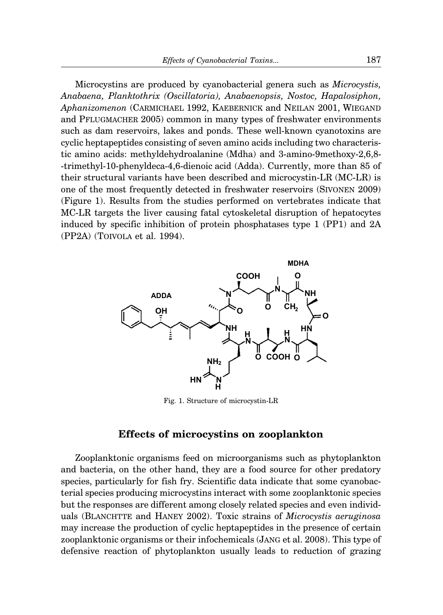Microcystins are produced by cyanobacterial genera such as *Microcystis, Anabaena, Planktothrix (Oscillatoria), Anabaenopsis, Nostoc, Hapalosiphon, Aphanizomenon* (CARMICHAEL 1992, KAEBERNICK and NEILAN 2001, WIEGAND and PFLUGMACHER 2005) common in many types of freshwater environments such as dam reservoirs, lakes and ponds. These well-known cyanotoxins are cyclic heptapeptides consisting of seven amino acids including two characteristic amino acids: methyldehydroalanine (Mdha) and 3-amino-9methoxy-2,6,8- -trimethyl-10-phenyldeca-4,6-dienoic acid (Adda). Currently, more than 85 of their structural variants have been described and microcystin-LR (MC-LR) is one of the most frequently detected in freshwater reservoirs (SIVONEN 2009) (Figure 1). Results from the studies performed on vertebrates indicate that MC-LR targets the liver causing fatal cytoskeletal disruption of hepatocytes induced by specific inhibition of protein phosphatases type 1 (PP1) and 2A (PP2A) (TOIVOLA et al. 1994).



Fig. 1. Structure of microcystin-LR

### **Effects of microcystins on zooplankton**

Zooplanktonic organisms feed on microorganisms such as phytoplankton and bacteria, on the other hand, they are a food source for other predatory species, particularly for fish fry. Scientific data indicate that some cyanobacterial species producing microcystins interact with some zooplanktonic species but the responses are different among closely related species and even individuals (BLANCHTTE and HANEY 2002). Toxic strains of *Microcystis aeruginosa* may increase the production of cyclic heptapeptides in the presence of certain zooplanktonic organisms or their infochemicals (JANG et al. 2008). This type of defensive reaction of phytoplankton usually leads to reduction of grazing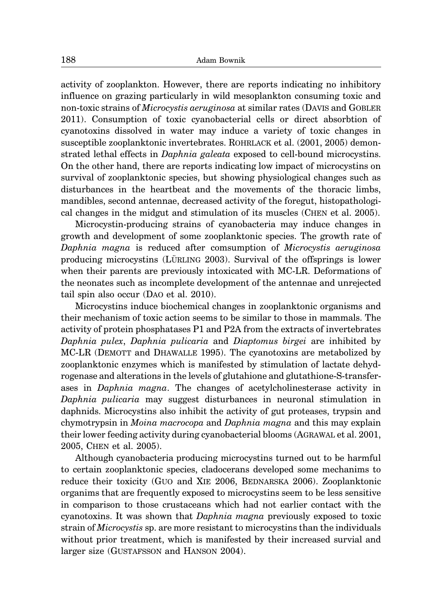activity of zooplankton. However, there are reports indicating no inhibitory influence on grazing particularly in wild mesoplankton consuming toxic and non-toxic strains of *Microcystis aeruginosa* at similar rates (DAVIS and GOBLER 2011). Consumption of toxic cyanobacterial cells or direct absorbtion of cyanotoxins dissolved in water may induce a variety of toxic changes in susceptible zooplanktonic invertebrates. ROHRLACK et al. (2001, 2005) demonstrated lethal effects in *Daphnia galeata* exposed to cell-bound microcystins. On the other hand, there are reports indicating low impact of microcystins on survival of zooplanktonic species, but showing physiological changes such as disturbances in the heartbeat and the movements of the thoracic limbs, mandibles, second antennae, decreased activity of the foregut, histopathological changes in the midgut and stimulation of its muscles (CHEN et al. 2005).

Microcystin-producing strains of cyanobacteria may induce changes in growth and development of some zooplanktonic species. The growth rate of *Daphnia magna* is reduced after comsumption of *Microcystis aeruginosa* producing microcystins (LÜRLING 2003). Survival of the offsprings is lower when their parents are previously intoxicated with MC-LR. Deformations of the neonates such as incomplete development of the antennae and unrejected tail spin also occur (DAO et al. 2010).

Microcystins induce biochemical changes in zooplanktonic organisms and their mechanism of toxic action seems to be similar to those in mammals. The activity of protein phosphatases P1 and P2A from the extracts of invertebrates *Daphnia pulex*, *Daphnia pulicaria* and *Diaptomus birgei* are inhibited by MC-LR (DEMOTT and DHAWALLE 1995). The cyanotoxins are metabolized by zooplanktonic enzymes which is manifested by stimulation of lactate dehydrogenase and alterations in the levels of glutahione and glutathione-S-transferases in *Daphnia magna*. The changes of acetylcholinesterase activity in *Daphnia pulicaria* may suggest disturbances in neuronal stimulation in daphnids. Microcystins also inhibit the activity of gut proteases, trypsin and chymotrypsin in *Moina macrocopa* and *Daphnia magna* and this may explain their lower feeding activity during cyanobacterial blooms (AGRAWAL et al. 2001, 2005, CHEN et al. 2005).

Although cyanobacteria producing microcystins turned out to be harmful to certain zooplanktonic species, cladocerans developed some mechanims to reduce their toxicity (GUO and XIE 2006, BEDNARSKA 2006). Zooplanktonic organims that are frequently exposed to microcystins seem to be less sensitive in comparison to those crustaceans which had not earlier contact with the cyanotoxins. It was shown that *Daphnia magna* previously exposed to toxic strain of *Microcystis* sp. are more resistant to microcystins than the individuals without prior treatment, which is manifested by their increased survial and larger size (GUSTAFSSON and HANSON 2004).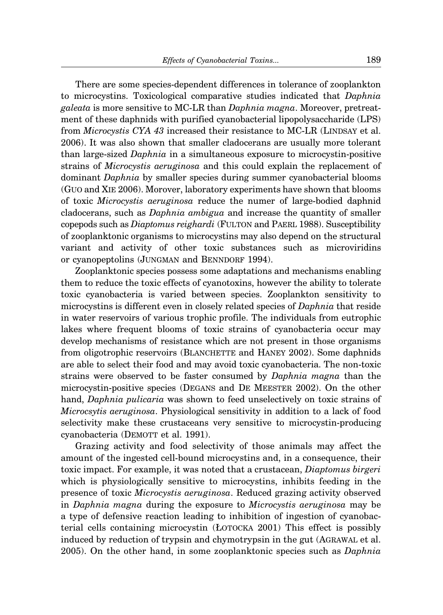There are some species-dependent differences in tolerance of zooplankton to microcystins. Toxicological comparative studies indicated that *Daphnia galeata* is more sensitive to MC-LR than *Daphnia magna*. Moreover, pretreatment of these daphnids with purified cyanobacterial lipopolysaccharide (LPS) from *Microcystis CYA 43* increased their resistance to MC-LR (LINDSAY et al. 2006). It was also shown that smaller cladocerans are usually more tolerant than large-sized *Daphnia* in a simultaneous exposure to microcystin-positive strains of *Microcystis aeruginosa* and this could explain the replacement of dominant *Daphnia* by smaller species during summer cyanobacterial blooms (GUO and XIE 2006). Morover, laboratory experiments have shown that blooms of toxic *Microcystis aeruginosa* reduce the numer of large-bodied daphnid cladocerans, such as *Daphnia ambigua* and increase the quantity of smaller copepods such as *Diaptomus reighardi* (FULTON and PAERL 1988). Susceptibility of zooplanktonic organisms to microcystins may also depend on the structural variant and activity of other toxic substances such as microviridins or cyanopeptolins (JUNGMAN and BENNDORF 1994).

Zooplanktonic species possess some adaptations and mechanisms enabling them to reduce the toxic effects of cyanotoxins, however the ability to tolerate toxic cyanobacteria is varied between species. Zooplankton sensitivity to microcystins is different even in closely related species of *Daphnia* that reside in water reservoirs of various trophic profile. The individuals from eutrophic lakes where frequent blooms of toxic strains of cyanobacteria occur may develop mechanisms of resistance which are not present in those organisms from oligotrophic reservoirs (BLANCHETTE and HANEY 2002). Some daphnids are able to select their food and may avoid toxic cyanobacteria. The non-toxic strains were observed to be faster consumed by *Daphnia magna* than the microcystin-positive species (DEGANS and DE MEESTER 2002). On the other hand, *Daphnia pulicaria* was shown to feed unselectively on toxic strains of *Microcsytis aeruginosa*. Physiological sensitivity in addition to a lack of food selectivity make these crustaceans very sensitive to microcystin-producing cyanobacteria (DEMOTT et al. 1991).

Grazing activity and food selectivity of those animals may affect the amount of the ingested cell-bound microcystins and, in a consequence, their toxic impact. For example, it was noted that a crustacean, *Diaptomus birgeri* which is physiologically sensitive to microcystins, inhibits feeding in the presence of toxic *Microcystis aeruginosa*. Reduced grazing activity observed in *Daphnia magna* during the exposure to *Microcystis aeruginosa* may be a type of defensive reaction leading to inhibition of ingestion of cyanobacterial cells containing microcystin (ŁOTOCKA 2001) This effect is possibly induced by reduction of trypsin and chymotrypsin in the gut (AGRAWAL et al. 2005). On the other hand, in some zooplanktonic species such as *Daphnia*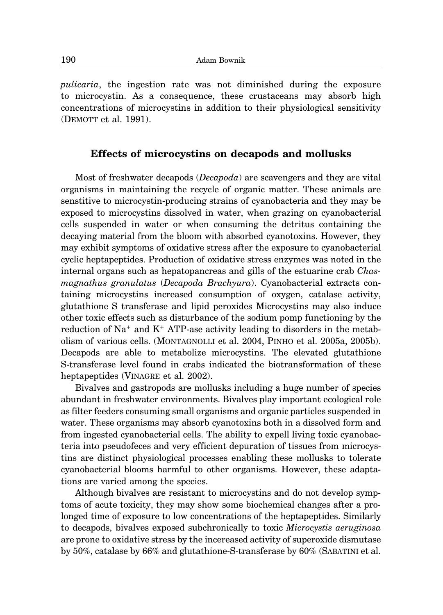*pulicaria*, the ingestion rate was not diminished during the exposure to microcystin. As a consequence, these crustaceans may absorb high concentrations of microcystins in addition to their physiological sensitivity (DEMOTT et al. 1991).

## **Effects of microcystins on decapods and mollusks**

Most of freshwater decapods (*Decapoda*) are scavengers and they are vital organisms in maintaining the recycle of organic matter. These animals are senstitive to microcystin-producing strains of cyanobacteria and they may be exposed to microcystins dissolved in water, when grazing on cyanobacterial cells suspended in water or when consuming the detritus containing the decaying material from the bloom with absorbed cyanotoxins. However, they may exhibit symptoms of oxidative stress after the exposure to cyanobacterial cyclic heptapeptides. Production of oxidative stress enzymes was noted in the internal organs such as hepatopancreas and gills of the estuarine crab *Chasmagnathus granulatus* (*Decapoda Brachyura*). Cyanobacterial extracts containing microcystins increased consumption of oxygen, catalase activity, glutathione S transferase and lipid peroxides Microcystins may also induce other toxic effects such as disturbance of the sodium pomp functioning by the reduction of  $Na^+$  and  $K^+$  ATP-ase activity leading to disorders in the metabolism of various cells. (MONTAGNOLLI et al. 2004, PINHO et al. 2005a, 2005b). Decapods are able to metabolize microcystins. The elevated glutathione S-transferase level found in crabs indicated the biotransformation of these heptapeptides (VINAGRE et al. 2002).

Bivalves and gastropods are mollusks including a huge number of species abundant in freshwater environments. Bivalves play important ecological role as filter feeders consuming small organisms and organic particles suspended in water. These organisms may absorb cyanotoxins both in a dissolved form and from ingested cyanobacterial cells. The ability to expell living toxic cyanobacteria into pseudofeces and very efficient depuration of tissues from microcystins are distinct physiological processes enabling these mollusks to tolerate cyanobacterial blooms harmful to other organisms. However, these adaptations are varied among the species.

Although bivalves are resistant to microcystins and do not develop symptoms of acute toxicity, they may show some biochemical changes after a prolonged time of exposure to low concentrations of the heptapeptides. Similarly to decapods, bivalves exposed subchronically to toxic *Microcystis aeruginosa* are prone to oxidative stress by the incereased activity of superoxide dismutase by 50%, catalase by 66% and glutathione-S-transferase by 60% (SABATINI et al.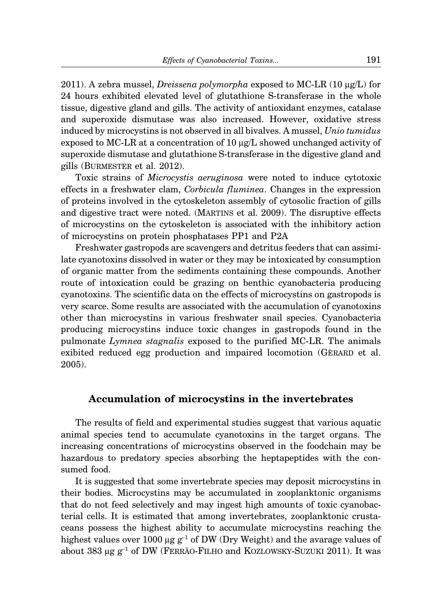2011). A zebra mussel, *Dreissena polymorpha* exposed to MC-LR (10 μg/L) for 24 hours exhibited elevated level of glutathione S-transferase in the whole tissue, digestive gland and gills. The activity of antioxidant enzymes, catalase and superoxide dismutase was also increased. However, oxidative stress induced by microcystins is not observed in all bivalves. A mussel, *Unio tumidus* exposed to MC-LR at a concentration of 10 μg/L showed unchanged activity of superoxide dismutase and glutathione S-transferase in the digestive gland and gills (BURMESTER et al. 2012).

Toxic strains of *Microcystis aeruginosa* were noted to induce cytotoxic effects in a freshwater clam, *Corbicula fluminea*. Changes in the expression of proteins involved in the cytoskeleton assembly of cytosolic fraction of gills and digestive tract were noted. (MARTINS et al. 2009). The disruptive effects of microcystins on the cytoskeleton is associated with the inhibitory action of microcystins on protein phosphatases PP1 and P2A

Freshwater gastropods are scavengers and detritus feeders that can assimilate cyanotoxins dissolved in water or they may be intoxicated by consumption of organic matter from the sediments containing these compounds. Another route of intoxication could be grazing on benthic cyanobacteria producing cyanotoxins. The scientific data on the effects of microcystins on gastropods is very scarce. Some results are associated with the accumulation of cyanotoxins other than microcystins in various freshwater snail species. Cyanobacteria producing microcystins induce toxic changes in gastropods found in the pulmonate *Lymnea stagnalis* exposed to the purified MC-LR. The animals exibited reduced egg production and impaired locomotion (GERARD et al. 2005).

# **Accumulation of microcystins in the invertebrates**

The results of field and experimental studies suggest that various aquatic animal species tend to accumulate cyanotoxins in the target organs. The increasing concentrations of microcystins observed in the foodchain may be hazardous to predatory species absorbing the heptapeptides with the consumed food.

It is suggested that some invertebrate species may deposit microcystins in their bodies. Microcystins may be accumulated in zooplanktonic organisms that do not feed selectively and may ingest high amounts of toxic cyanobacterial cells. It is estimated that among invertebrates, zooplanktonic crustaceans possess the highest ability to accumulate microcystins reaching the highest values over 1000 μg  $g^{-1}$  of DW (Dry Weight) and the avarage values of about 383  $\mu$ g g<sup>-1</sup> of DW (FERRÃO-FILHO and KOZLOWSKY-SUZUKI 2011). It was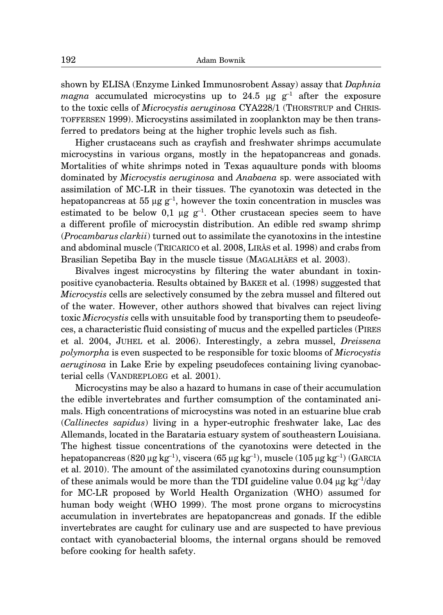shown by ELISA (Enzyme Linked Immunosrobent Assay) assay that *Daphnia magna* accumulated microcystins up to 24.5 μg  $g^{-1}$  after the exposure to the toxic cells of *Microcystis aeruginosa* CYA228/1 (THORSTRUP and CHRIS-TOFFERSEN 1999). Microcystins assimilated in zooplankton may be then transferred to predators being at the higher trophic levels such as fish.

Higher crustaceans such as crayfish and freshwater shrimps accumulate microcystins in various organs, mostly in the hepatopancreas and gonads. Mortalities of white shrimps noted in Texas aquaulture ponds with blooms dominated by *Microcystis aeruginosa* and *Anabaena* sp. were associated with assimilation of MC-LR in their tissues. The cyanotoxin was detected in the hepatopancreas at 55 μg  $g^{-1}$ , however the toxin concentration in muscles was estimated to be below 0,1 μg  $g^{-1}$ . Other crustacean species seem to have a different profile of microcystin distribution. An edible red swamp shrimp (*Procambarus clarkii*) turned out to assimilate the cyanotoxins in the intestine and abdominal muscle (TRICARICO et al. 2008, LIRÅS et al. 1998) and crabs from Brasilian Sepetiba Bay in the muscle tissue (MAGALHÃES et al. 2003).

Bivalves ingest microcystins by filtering the water abundant in toxinpositive cyanobacteria. Results obtained by BAKER et al. (1998) suggested that *Microcystis* cells are selectively consumed by the zebra mussel and filtered out of the water. However, other authors showed that bivalves can reject living toxic *Microcystis* cells with unsuitable food by transporting them to pseudeofeces, a characteristic fluid consisting of mucus and the expelled particles (PIRES et al. 2004, JUHEL et al. 2006). Interestingly, a zebra mussel, *Dreissena polymorpha* is even suspected to be responsible for toxic blooms of *Microcystis aeruginosa* in Lake Erie by expeling pseudofeces containing living cyanobacterial cells (VANDREPLOEG et al. 2001).

Microcystins may be also a hazard to humans in case of their accumulation the edible invertebrates and further comsumption of the contaminated animals. High concentrations of microcystins was noted in an estuarine blue crab (*Callinectes sapidus*) living in a hyper-eutrophic freshwater lake, Lac des Allemands, located in the Barataria estuary system of southeastern Louisiana. The highest tissue concentrations of the cyanotoxins were detected in the hepatopancreas (820 μg kg<sup>-1</sup>), viscera (65 μg kg<sup>-1</sup>), muscle (105 μg kg<sup>-1</sup>) (GARCIA et al. 2010). The amount of the assimilated cyanotoxins during counsumption of these animals would be more than the TDI guideline value  $0.04 \mu g kg^{-1}/day$ for MC-LR proposed by World Health Organization (WHO) assumed for human body weight (WHO 1999). The most prone organs to microcystins accumulation in invertebrates are hepatopancreas and gonads. If the edible invertebrates are caught for culinary use and are suspected to have previous contact with cyanobacterial blooms, the internal organs should be removed before cooking for health safety.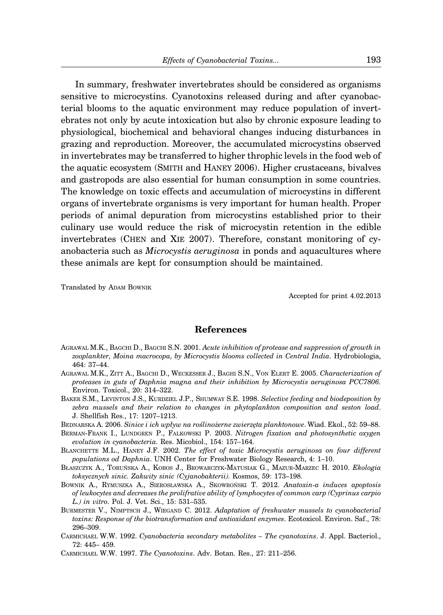In summary, freshwater invertebrates should be considered as organisms sensitive to microcystins. Cyanotoxins released during and after cyanobacterial blooms to the aquatic environment may reduce population of invertebrates not only by acute intoxication but also by chronic exposure leading to physiological, biochemical and behavioral changes inducing disturbances in grazing and reproduction. Moreover, the accumulated microcystins observed in invertebrates may be transferred to higher throphic levels in the food web of the aquatic ecosystem (SMITH and HANEY 2006). Higher crustaceans, bivalves and gastropods are also essential for human consumption in some countries. The knowledge on toxic effects and accumulation of microcystins in different organs of invertebrate organisms is very important for human health. Proper periods of animal depuration from microcystins established prior to their culinary use would reduce the risk of microcystin retention in the edible invertebrates (CHEN and XIE 2007). Therefore, constant monitoring of cyanobacteria such as *Microcystis aeruginosa* in ponds and aquacultures where these animals are kept for consumption should be maintained.

Translated by ADAM BOWNIK

Accepted for print 4.02.2013

#### **References**

- AGRAWAL M.K., BAGCHI D., BAGCHI S.N. 2001. *Acute inhibition of protease and suppression of growth in zooplankter, Moina macrocopa, by Microcystis blooms collected in Central India*. Hydrobiologia, 464: 37–44.
- AGRAWAL M.K., ZITT A., BAGCHI D., WECKESSER J., BAGHI S.N., VON ELERT E. 2005. *Characterization of proteases in guts of Daphnia magna and their inhibition by Microcystis aeruginosa PCC7806.* Environ. Toxicol., 20: 314–322.
- BAKER S.M., LEVINTON J.S., KURDZIEL J.P., SHUMWAY S.E. 1998. *Selective feeding and biodeposition by zebra mussels and their relation to changes in phytoplankton composition and seston load*. J. Shellfish Res., 17: 1207–1213.
- BEDNARSKA A. 2006. *Sinice i ich wpływ na roślinożerne zwierzęta planktonowe*. Wiad. Ekol., 52: 59–88.
- BERMAN-FRANK I., LUNDGREN P., FALKOWSKI P. 2003. *Nitrogen fixation and photosynthetic oxygen evolution in cyanobacteria*. Res. Micobiol., 154: 157–164.
- BLANCHETTE M.L., HANEY J.F. 2002. *The effect of toxic Microcystis aeruginosa on four different populations od Daphnia*. UNH Center for Freshwater Biology Research, 4: 1–10.
- BŁASZCZYK A., TORUŃSKA A., KOBOS J., BROWARCZYK-MATUSIAK G., MAZUR-MARZEC H. 2010. *Ekologia toksycznych sinic. Zakwity sinic (Cyjanobakterii).* Kosmos, 59: 173–198.
- BOWNIK A., RYMUSZKA A., SIEROSŁAWSKA A., SKOWROŃSKI T. 2012. *Anatoxin-a induces apoptosis of leukocytes and decreases the prolifrative ability of lymphocytes of common carp (Cyprinus carpio L.) in vitro.* Pol. J. Vet. Sci., 15: 531–535.
- BURMESTER V., NIMPTSCH J., WIEGAND C. 2012. *Adaptation of freshwater mussels to cyanobacterial toxins: Response of the biotransformation and antioxidant enzymes*. Ecotoxicol. Environ. Saf., 78: 296–309.
- CARMICHAEL W.W. 1992. *Cyanobacteria secondary metabolites The cyanotoxins*. J. Appl. Bacteriol., 72: 445– 459.
- CARMICHAEL W.W. 1997. *The Cyanotoxins*. Adv. Botan. Res., 27: 211–256.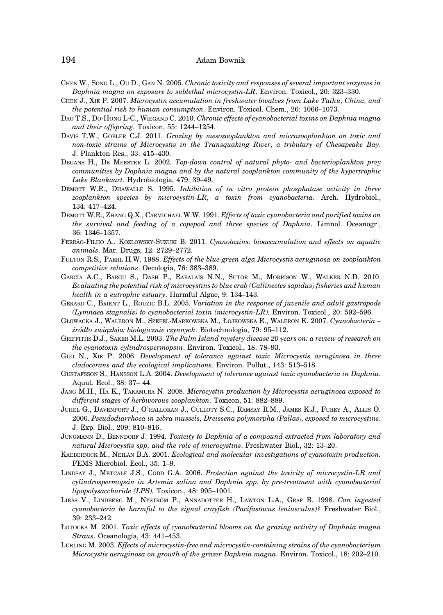- CHEN W., SONG L., OU D., GAN N. 2005. *Chronic toxicity and responses of several important enzymes in Daphnia magna on exposure to sublethal microcystin-LR*. Environ. Toxicol., 20: 323–330.
- CHEN J., XIE P. 2007. *Microcystin accumulation in freshwater bivalves from Lake Taihu, China, and the potential risk to human consumption.* Environ. Toxicol. Chem., 26: 1066–1073.
- DAO T.S., DO-HONG L-C., WIEGAND C. 2010. *Chronic effects of cyanobacterial toxins on Daphnia magna and their offspring.* Toxicon, 55: 1244–1254.
- DAVIS T.W., GOBLER C.J. 2011. *Grazing by mesozooplankton and microzooplankton on toxic and non-toxic strains of Microcystis in the Transquaking River, a tributary of Chesapeake Bay*. J. Plankton Res., 33: 415–430.
- DEGANS H., DE MEESTER L. 2002. *Top-down control of natural phyto- and bacterioplankton prey communities by Daphnia magna and by the natural zooplankton community of the hypertrophic Lake Blankaart.* Hydrobiologia, 479: 39–49.
- DEMOTT W.R., DHAWALLE S. 1995. *Inhibition of in vitro protein phosphatase activity in three zooplankton species by microcystin-LR, a toxin from cyanobacteria*. Arch. Hydrobiol., 134: 417–424.
- DEMOTT W.R., ZHANG Q.X., CARMICHAEL W.W. 1991. *Effects of toxic cyanobacteria and purified toxins on the survival and feeding of a copepod and three species of Daphnia*. Limnol. Oceanogr., 36: 1346–1357.
- FERRA˜O-FILHO A., KOZLOWSKY-SUZUKI B. 2011. *Cyanotoxins: bioaccumulation and effects on aquatic animals*. Mar. Drugs, 12: 2729–2772.
- FULTON R.S., PAERL H.W. 1988. *Effects of the blue-green alga Microcystis aeruginosa on zooplankton competitive relations*. Oecologia, 76: 383–389.
- GARCIA A.C., BARGU S., DASH P., RABALAIS N.N., SUTOR M., MORRISON W., WALKER N.D. 2010. *Evaluating the potential risk of microcystins to blue crab (Callinectes sapidus) fisheries and human health in a eutrophic estuary*. Harmful Algae, 9: 134–143.
- GERARD C., BRIENT L., ROUZIC B.L. 2005. *Variation in the response of juvenile and adult gastropods (Lymnaea stagnalis) to cyanobacterial toxin (microcystin-LR).* Environ. Toxicol., 20: 592–596.
- GŁOWACKA J., WALERON M., SZEFEL-MARKOWSKA M., ŁOJKOWSKA E., WALERON K. 2007. *Cyanobacteria – źródło związków biologicznie czynnych.* Biotechnologia, 79: 95–112.
- GRIFFITHS D.J., SAKER M.L. 2003. *The Palm Island mystery disease 20 years on: a review of research on the cyanotoxin cylindrospermopsin*. Environ. Toxicol., 18: 78–93.
- GUO N., XIE P. 2006. *Development of tolerance against toxic Microcystis aeruginosa in three cladocerans and the ecological implications*. Environ. Pollut., 143: 513–518.
- GUSTAFSSON S., HANSSON L.A. 2004. *Development of tolerance against toxic cyanobacteria in Daphnia*. Aquat. Ecol., 38: 37– 44.
- JANG M.H., HA K., TAKAMURA N. 2008. *Microcystin production by Microcystis aeruginosa exposed to different stages of herbivorous zooplankton.* Toxicon, 51: 882–889.
- JUHEL G., DAVENPORT J., O'HALLORAN J., CULLOTY S.C., RAMSAY R.M., JAMES K.J., FUREY A., ALLIS O. 2006. *Pseudodiarrhoea in zebra mussels, Dreissena polymorpha (Pallas), exposed to microcystins*. J. Exp. Biol., 209: 810–816.
- JUNGMANN D., BENNDORF J. 1994. *Toxicity to Daphnia of a compound extracted from laboratory and natural Microcystis spp, and the role of microcystins*. Freshwater Biol., 32: 13–20.
- KAEBERNICK M., NEILAN B.A. 2001. *Ecological and molecular investigations of cyanotoxin production.* FEMS Microbiol. Ecol., 35: 1–9.
- LINDSAY J., METCALF J.S., CODD G.A. 2006. *Protection against the toxicity of microcystin-LR and cylindrospermopsin in Artemia salina and Daphnia spp. by pre-treatment with cyanobacterial lipopolysaccharide (LPS).* Toxicon., 48: 995–1001.
- LIRAS V., LINDBERG M., NYSTRÖM P., ANNADOTTER H., LAWTON L.A., GRAF B. 1998. *Can ingested cyanobacteria be harmful to the signal crayfish (Pacifastacus leniusculus)?* Freshwater Biol., 39: 233–242.
- ŁOTOCKA M. 2001. *Toxic effects of cyanobacterial blooms on the grazing activity of Daphnia magna Straus*. Oceanologia, 43: 441–453.
- LÜRLING M. 2003. *Effects of microcystin-free and microcystin-containing strains of the cyanobacterium Microcystis aeruginosa on growth of the grazer Daphnia magna*. Environ. Toxicol., 18: 202–210.